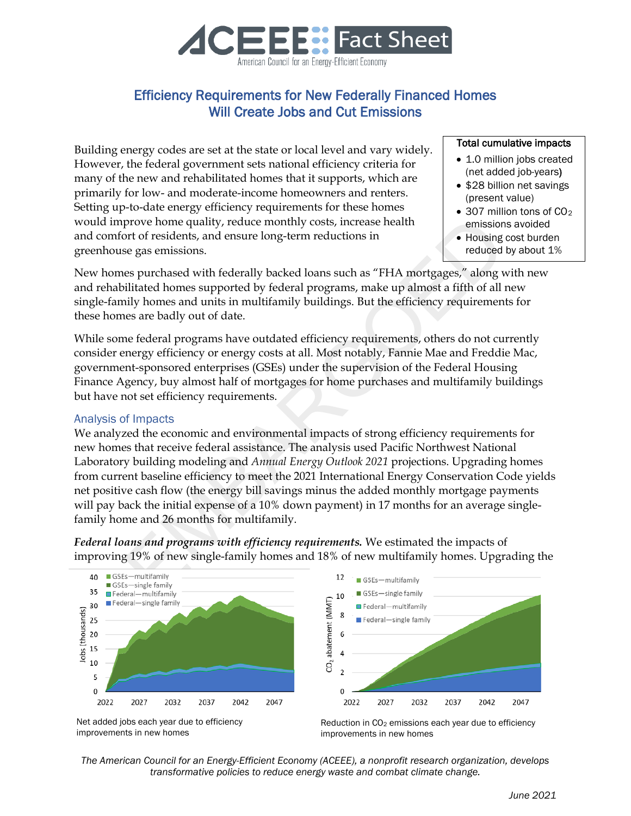

## Efficiency Requirements for New Federally Financed Homes Will Create Jobs and Cut Emissions

Building energy codes are set at the state or local level and vary widely. However, the federal government sets national efficiency criteria for many of the new and rehabilitated homes that it supports, which are primarily for low- and moderate-income homeowners and renters. Setting up-to-date energy efficiency requirements for these homes would improve home quality, reduce monthly costs, increase health and comfort of residents, and ensure long-term reductions in greenhouse gas emissions.

## Total cumulative impacts

- 1.0 million jobs created (net added job-years)
- \$28 billion net savings (present value)
- $\bullet$  307 million tons of CO<sub>2</sub> emissions avoided
- Housing cost burden reduced by about 1%

New homes purchased with federally backed loans such as "FHA mortgages," along with new and rehabilitated homes supported by federal programs, make up almost a fifth of all new single-family homes and units in multifamily buildings. But the efficiency requirements for these homes are badly out of date.

While some federal programs have outdated efficiency requirements, others do not currently consider energy efficiency or energy costs at all. Most notably, Fannie Mae and Freddie Mac, government-sponsored enterprises (GSEs) under the supervision of the Federal Housing Finance Agency, buy almost half of mortgages for home purchases and multifamily buildings but have not set efficiency requirements.

## Analysis of Impacts

prove home quality, reduce monthly costs, increase health<br>
er disclonts, and ensure long-term reductions in<br>
the signessions.<br>
es gas emissions.<br>
es purchased with federally backed loans such as "FHA mortgages," along velo We analyzed the economic and environmental impacts of strong efficiency requirements for new homes that receive federal assistance. The analysis used Pacific Northwest National Laboratory building modeling and *Annual Energy Outlook 2021* projections. Upgrading homes from current baseline efficiency to meet the 2021 International Energy Conservation Code yields net positive cash flow (the energy bill savings minus the added monthly mortgage payments will pay back the initial expense of a 10% down payment) in 17 months for an average singlefamily home and 26 months for multifamily.

*Federal loans and programs with efficiency requirements.* We estimated the impacts of improving 19% of new single-family homes and 18% of new multifamily homes. Upgrading the





Net added jobs each year due to efficiency improvements in new homes

Reduction in CO<sub>2</sub> emissions each year due to efficiency improvements in new homes

*The American Council for an Energy-Efficient Economy (ACEEE), a nonprofit research organization, develops transformative policies to reduce energy waste and combat climate change.*